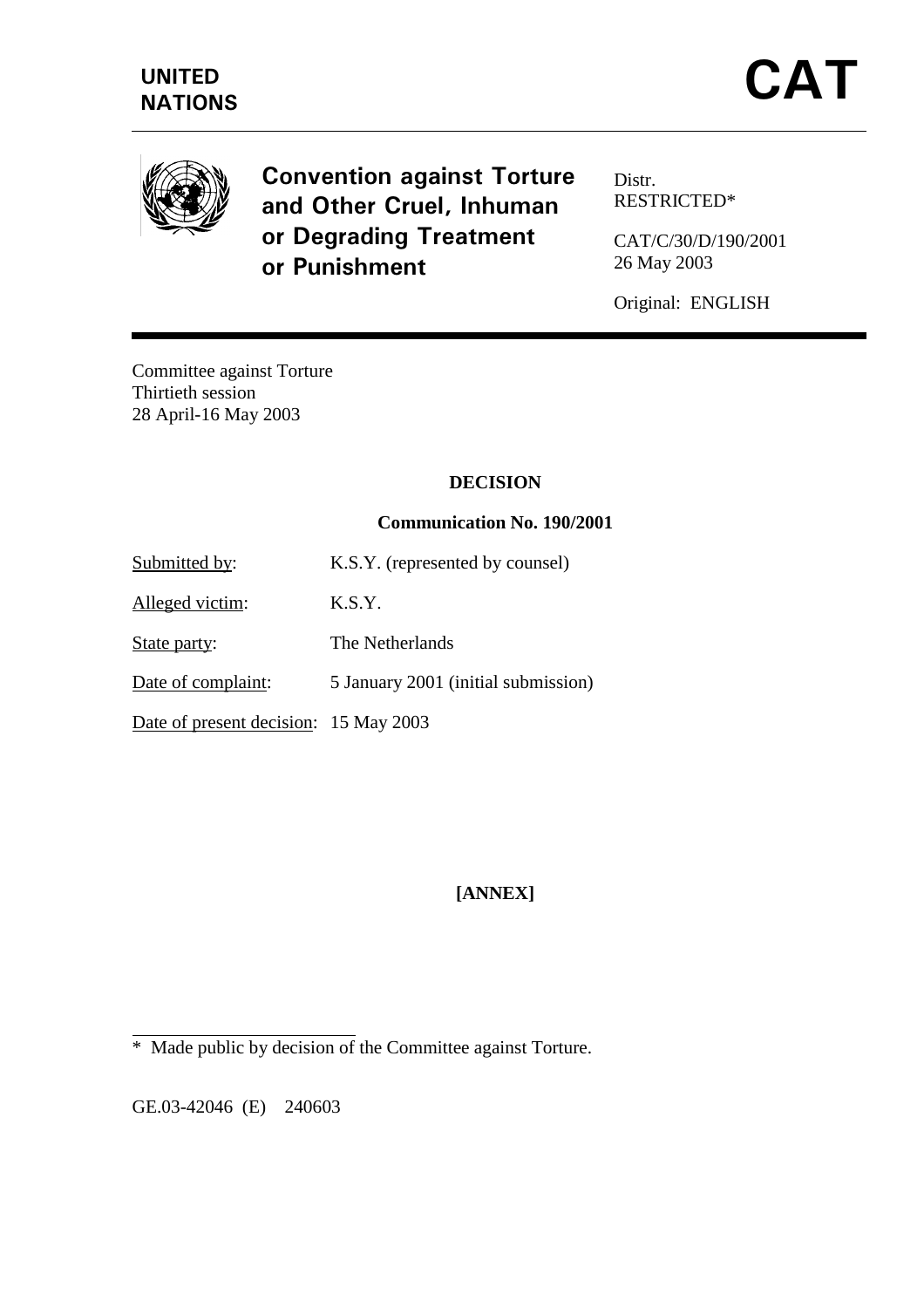

**Convention against Torture** and Other Cruel, Inhuman or Degrading Treatment or Punishment

Distr. RESTRICTED\*

CAT/C/30/D/190/2001 26 May 2003

Original: ENGLISH

Committee against Torture Thirtieth session 28 April-16 May 2003

### **DECISION**

### **Communication No. 190/2001**

Submitted by: K.S.Y. (represented by counsel)

Alleged victim: K.S.Y.

State party: The Netherlands

Date of complaint: 5 January 2001 (initial submission)

Date of present decision: 15 May 2003

**[ANNEX]** 

GE.03-42046 (E) 240603

 $\overline{a}$ 

<sup>\*</sup> Made public by decision of the Committee against Torture.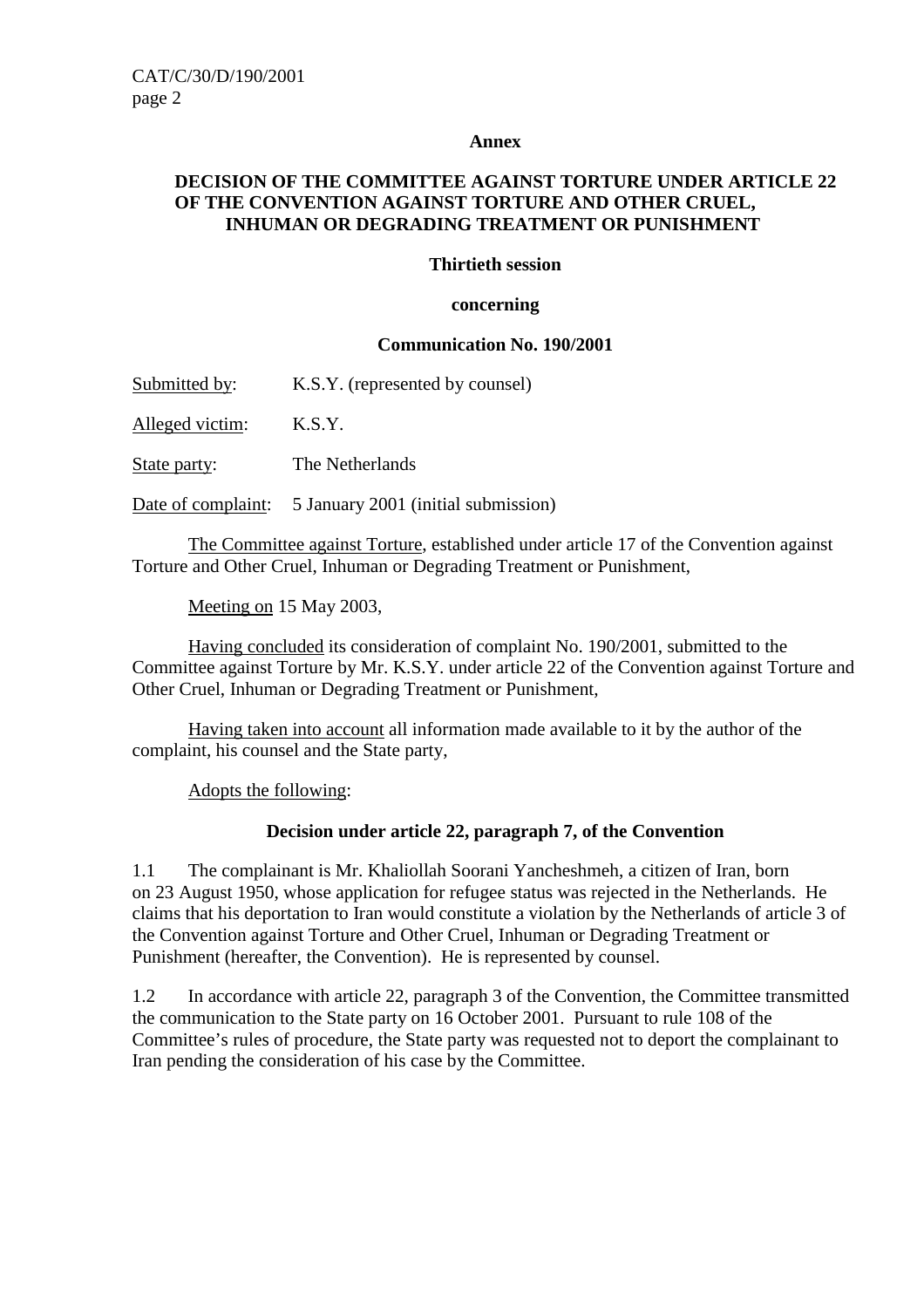#### **Annex**

## **DECISION OF THE COMMITTEE AGAINST TORTURE UNDER ARTICLE 22 OF THE CONVENTION AGAINST TORTURE AND OTHER CRUEL, INHUMAN OR DEGRADING TREATMENT OR PUNISHMENT**

### **Thirtieth session**

#### **concerning**

#### **Communication No. 190/2001**

Submitted by: K.S.Y. (represented by counsel)

Alleged victim: K.S.Y.

State party: The Netherlands

Date of complaint: 5 January 2001 (initial submission)

 The Committee against Torture, established under article 17 of the Convention against Torture and Other Cruel, Inhuman or Degrading Treatment or Punishment,

Meeting on 15 May 2003,

 Having concluded its consideration of complaint No. 190/2001, submitted to the Committee against Torture by Mr. K.S.Y. under article 22 of the Convention against Torture and Other Cruel, Inhuman or Degrading Treatment or Punishment,

 Having taken into account all information made available to it by the author of the complaint, his counsel and the State party,

Adopts the following:

### **Decision under article 22, paragraph 7, of the Convention**

1.1 The complainant is Mr. Khaliollah Soorani Yancheshmeh, a citizen of Iran, born on 23 August 1950, whose application for refugee status was rejected in the Netherlands. He claims that his deportation to Iran would constitute a violation by the Netherlands of article 3 of the Convention against Torture and Other Cruel, Inhuman or Degrading Treatment or Punishment (hereafter, the Convention). He is represented by counsel.

1.2 In accordance with article 22, paragraph 3 of the Convention, the Committee transmitted the communication to the State party on 16 October 2001. Pursuant to rule 108 of the Committee's rules of procedure, the State party was requested not to deport the complainant to Iran pending the consideration of his case by the Committee.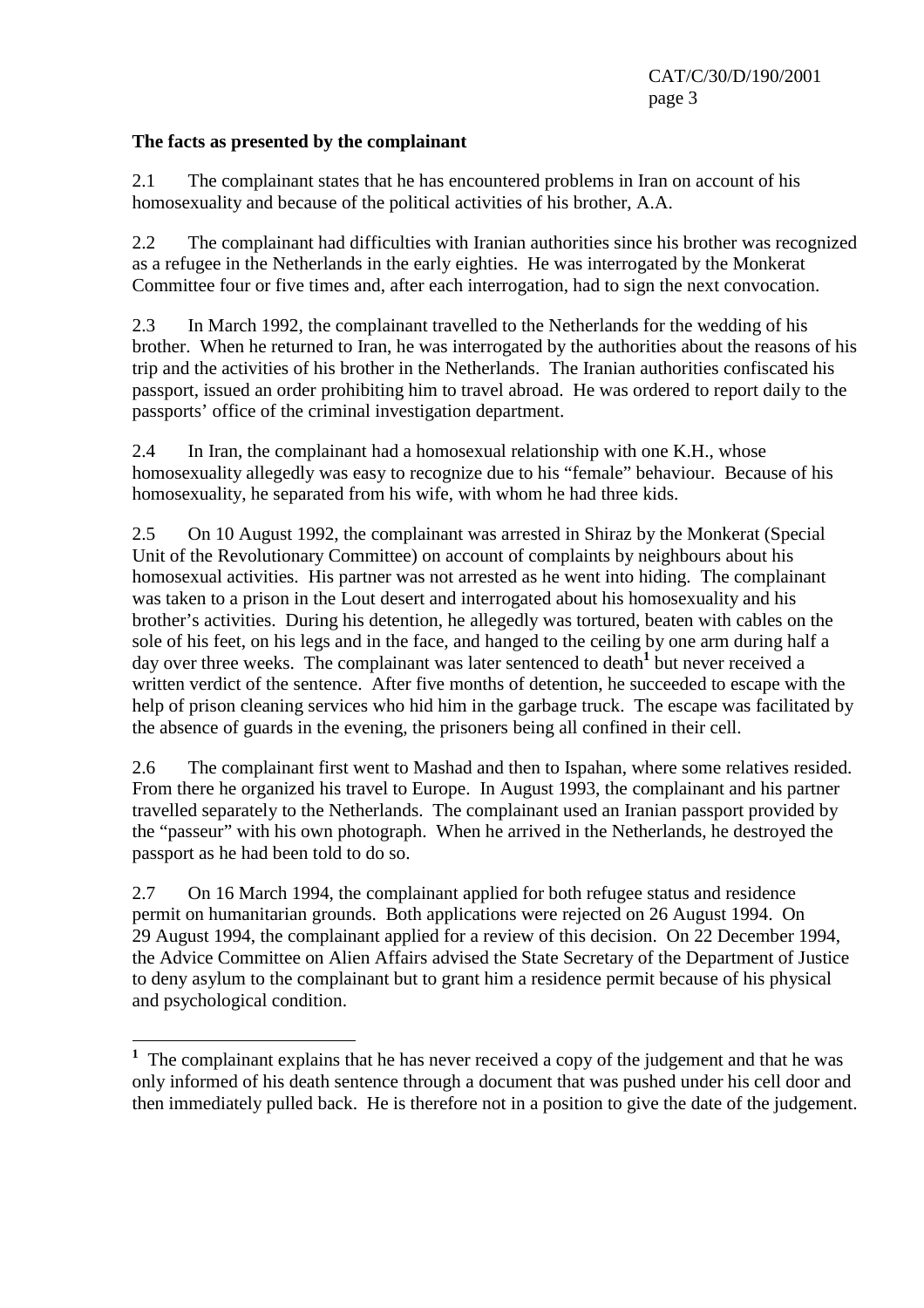## **The facts as presented by the complainant**

2.1 The complainant states that he has encountered problems in Iran on account of his homosexuality and because of the political activities of his brother, A.A.

2.2 The complainant had difficulties with Iranian authorities since his brother was recognized as a refugee in the Netherlands in the early eighties. He was interrogated by the Monkerat Committee four or five times and, after each interrogation, had to sign the next convocation.

2.3 In March 1992, the complainant travelled to the Netherlands for the wedding of his brother. When he returned to Iran, he was interrogated by the authorities about the reasons of his trip and the activities of his brother in the Netherlands. The Iranian authorities confiscated his passport, issued an order prohibiting him to travel abroad. He was ordered to report daily to the passports' office of the criminal investigation department.

2.4 In Iran, the complainant had a homosexual relationship with one K.H., whose homosexuality allegedly was easy to recognize due to his "female" behaviour. Because of his homosexuality, he separated from his wife, with whom he had three kids.

2.5 On 10 August 1992, the complainant was arrested in Shiraz by the Monkerat (Special Unit of the Revolutionary Committee) on account of complaints by neighbours about his homosexual activities. His partner was not arrested as he went into hiding. The complainant was taken to a prison in the Lout desert and interrogated about his homosexuality and his brother's activities. During his detention, he allegedly was tortured, beaten with cables on the sole of his feet, on his legs and in the face, and hanged to the ceiling by one arm during half a day over three weeks. The complainant was later sentenced to death<sup>1</sup> but never received a written verdict of the sentence. After five months of detention, he succeeded to escape with the help of prison cleaning services who hid him in the garbage truck. The escape was facilitated by the absence of guards in the evening, the prisoners being all confined in their cell.

2.6 The complainant first went to Mashad and then to Ispahan, where some relatives resided. From there he organized his travel to Europe. In August 1993, the complainant and his partner travelled separately to the Netherlands. The complainant used an Iranian passport provided by the "passeur" with his own photograph. When he arrived in the Netherlands, he destroyed the passport as he had been told to do so.

2.7 On 16 March 1994, the complainant applied for both refugee status and residence permit on humanitarian grounds. Both applications were rejected on 26 August 1994. On 29 August 1994, the complainant applied for a review of this decision. On 22 December 1994, the Advice Committee on Alien Affairs advised the State Secretary of the Department of Justice to deny asylum to the complainant but to grant him a residence permit because of his physical and psychological condition.

<sup>&</sup>lt;sup>1</sup> The complainant explains that he has never received a copy of the judgement and that he was only informed of his death sentence through a document that was pushed under his cell door and then immediately pulled back. He is therefore not in a position to give the date of the judgement.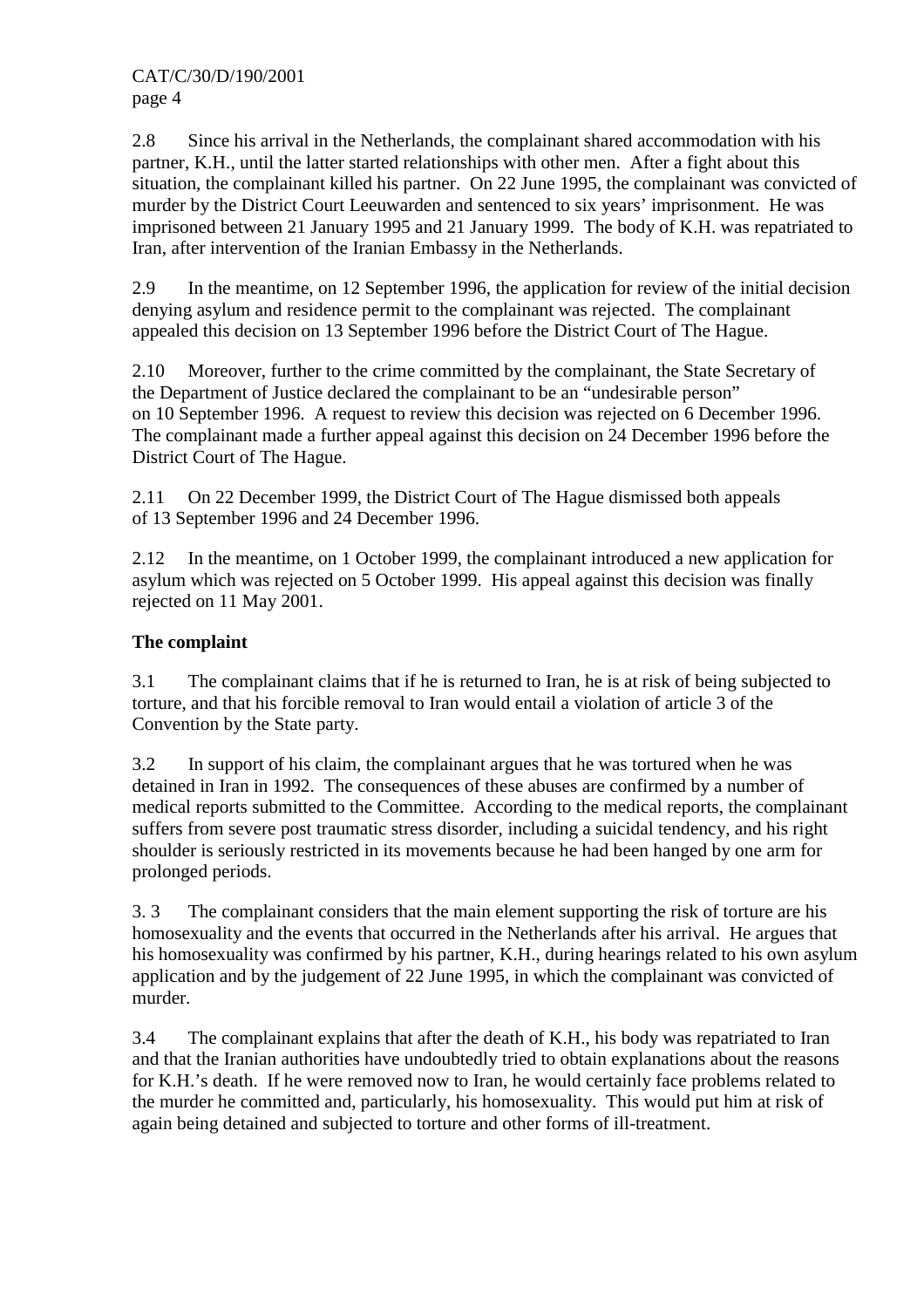CAT/C/30/D/190/2001 page 4

2.8 Since his arrival in the Netherlands, the complainant shared accommodation with his partner, K.H., until the latter started relationships with other men. After a fight about this situation, the complainant killed his partner. On 22 June 1995, the complainant was convicted of murder by the District Court Leeuwarden and sentenced to six years' imprisonment. He was imprisoned between 21 January 1995 and 21 January 1999. The body of K.H. was repatriated to Iran, after intervention of the Iranian Embassy in the Netherlands.

2.9 In the meantime, on 12 September 1996, the application for review of the initial decision denying asylum and residence permit to the complainant was rejected. The complainant appealed this decision on 13 September 1996 before the District Court of The Hague.

2.10 Moreover, further to the crime committed by the complainant, the State Secretary of the Department of Justice declared the complainant to be an "undesirable person" on 10 September 1996. A request to review this decision was rejected on 6 December 1996. The complainant made a further appeal against this decision on 24 December 1996 before the District Court of The Hague.

2.11 On 22 December 1999, the District Court of The Hague dismissed both appeals of 13 September 1996 and 24 December 1996.

2.12 In the meantime, on 1 October 1999, the complainant introduced a new application for asylum which was rejected on 5 October 1999. His appeal against this decision was finally rejected on 11 May 2001.

# **The complaint**

3.1 The complainant claims that if he is returned to Iran, he is at risk of being subjected to torture, and that his forcible removal to Iran would entail a violation of article 3 of the Convention by the State party.

3.2 In support of his claim, the complainant argues that he was tortured when he was detained in Iran in 1992. The consequences of these abuses are confirmed by a number of medical reports submitted to the Committee. According to the medical reports, the complainant suffers from severe post traumatic stress disorder, including a suicidal tendency, and his right shoulder is seriously restricted in its movements because he had been hanged by one arm for prolonged periods.

3. 3 The complainant considers that the main element supporting the risk of torture are his homosexuality and the events that occurred in the Netherlands after his arrival. He argues that his homosexuality was confirmed by his partner, K.H., during hearings related to his own asylum application and by the judgement of 22 June 1995, in which the complainant was convicted of murder.

3.4 The complainant explains that after the death of K.H., his body was repatriated to Iran and that the Iranian authorities have undoubtedly tried to obtain explanations about the reasons for K.H.'s death. If he were removed now to Iran, he would certainly face problems related to the murder he committed and, particularly, his homosexuality. This would put him at risk of again being detained and subjected to torture and other forms of ill-treatment.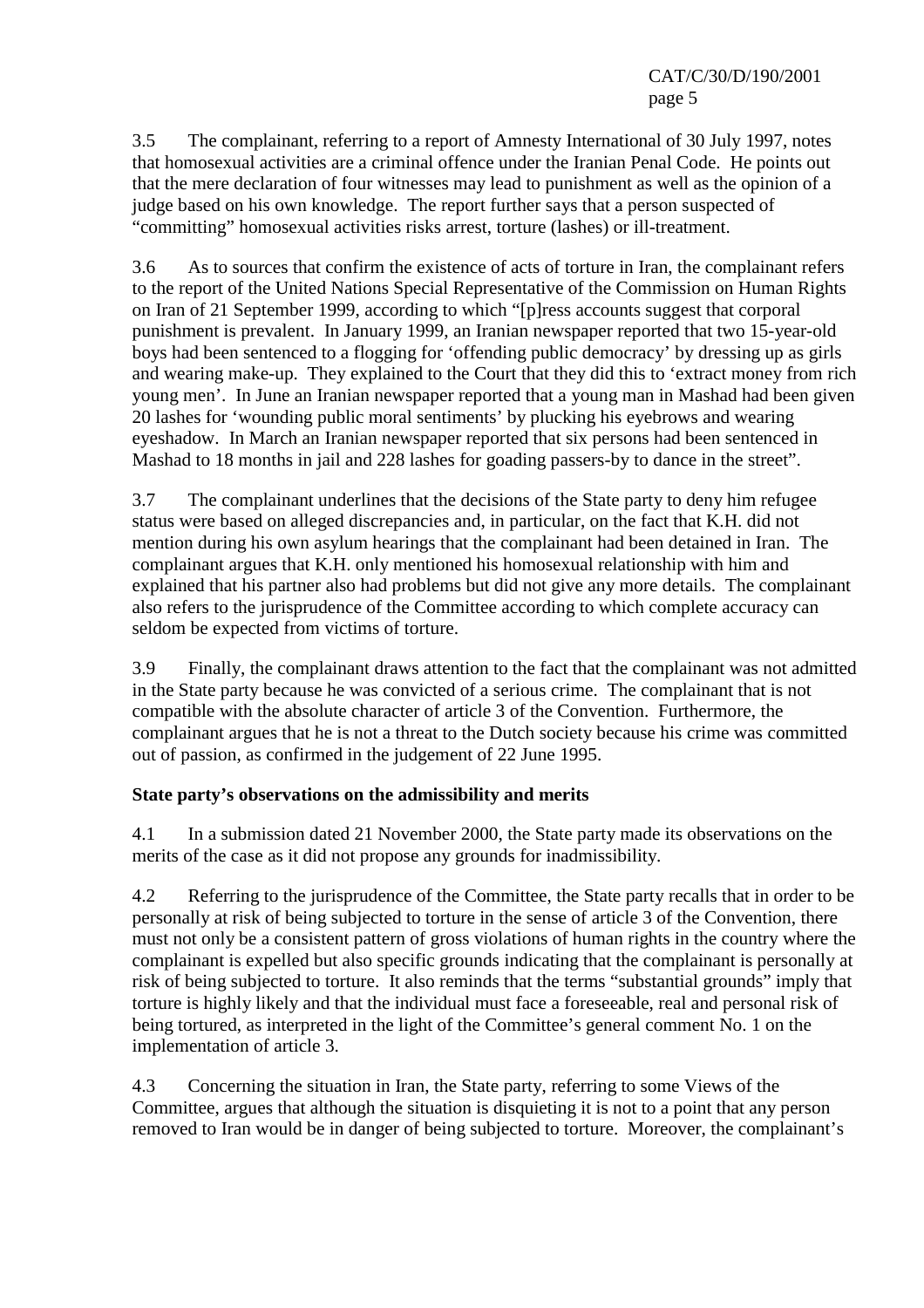3.5 The complainant, referring to a report of Amnesty International of 30 July 1997, notes that homosexual activities are a criminal offence under the Iranian Penal Code. He points out that the mere declaration of four witnesses may lead to punishment as well as the opinion of a judge based on his own knowledge. The report further says that a person suspected of "committing" homosexual activities risks arrest, torture (lashes) or ill-treatment.

3.6 As to sources that confirm the existence of acts of torture in Iran, the complainant refers to the report of the United Nations Special Representative of the Commission on Human Rights on Iran of 21 September 1999, according to which "[p]ress accounts suggest that corporal punishment is prevalent. In January 1999, an Iranian newspaper reported that two 15-year-old boys had been sentenced to a flogging for 'offending public democracy' by dressing up as girls and wearing make-up. They explained to the Court that they did this to 'extract money from rich young men'. In June an Iranian newspaper reported that a young man in Mashad had been given 20 lashes for 'wounding public moral sentiments' by plucking his eyebrows and wearing eyeshadow. In March an Iranian newspaper reported that six persons had been sentenced in Mashad to 18 months in jail and 228 lashes for goading passers-by to dance in the street".

3.7 The complainant underlines that the decisions of the State party to deny him refugee status were based on alleged discrepancies and, in particular, on the fact that K.H. did not mention during his own asylum hearings that the complainant had been detained in Iran. The complainant argues that K.H. only mentioned his homosexual relationship with him and explained that his partner also had problems but did not give any more details. The complainant also refers to the jurisprudence of the Committee according to which complete accuracy can seldom be expected from victims of torture.

3.9 Finally, the complainant draws attention to the fact that the complainant was not admitted in the State party because he was convicted of a serious crime. The complainant that is not compatible with the absolute character of article 3 of the Convention. Furthermore, the complainant argues that he is not a threat to the Dutch society because his crime was committed out of passion, as confirmed in the judgement of 22 June 1995.

# **State party's observations on the admissibility and merits**

4.1 In a submission dated 21 November 2000, the State party made its observations on the merits of the case as it did not propose any grounds for inadmissibility.

4.2 Referring to the jurisprudence of the Committee, the State party recalls that in order to be personally at risk of being subjected to torture in the sense of article 3 of the Convention, there must not only be a consistent pattern of gross violations of human rights in the country where the complainant is expelled but also specific grounds indicating that the complainant is personally at risk of being subjected to torture. It also reminds that the terms "substantial grounds" imply that torture is highly likely and that the individual must face a foreseeable, real and personal risk of being tortured, as interpreted in the light of the Committee's general comment No. 1 on the implementation of article 3.

4.3 Concerning the situation in Iran, the State party, referring to some Views of the Committee, argues that although the situation is disquieting it is not to a point that any person removed to Iran would be in danger of being subjected to torture. Moreover, the complainant's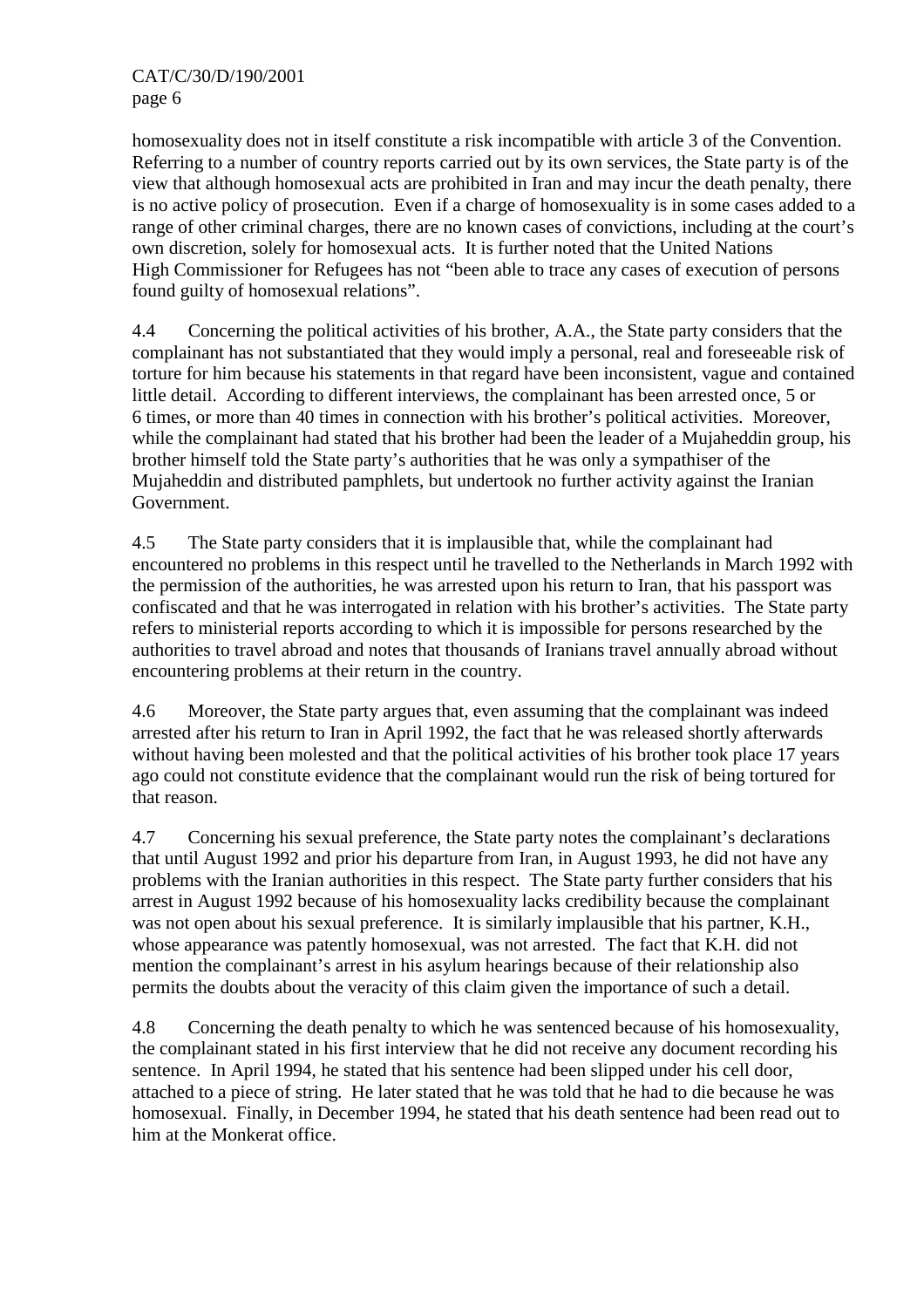homosexuality does not in itself constitute a risk incompatible with article 3 of the Convention. Referring to a number of country reports carried out by its own services, the State party is of the view that although homosexual acts are prohibited in Iran and may incur the death penalty, there is no active policy of prosecution. Even if a charge of homosexuality is in some cases added to a range of other criminal charges, there are no known cases of convictions, including at the court's own discretion, solely for homosexual acts. It is further noted that the United Nations High Commissioner for Refugees has not "been able to trace any cases of execution of persons found guilty of homosexual relations".

4.4 Concerning the political activities of his brother, A.A., the State party considers that the complainant has not substantiated that they would imply a personal, real and foreseeable risk of torture for him because his statements in that regard have been inconsistent, vague and contained little detail. According to different interviews, the complainant has been arrested once, 5 or 6 times, or more than 40 times in connection with his brother's political activities. Moreover, while the complainant had stated that his brother had been the leader of a Mujaheddin group, his brother himself told the State party's authorities that he was only a sympathiser of the Mujaheddin and distributed pamphlets, but undertook no further activity against the Iranian Government.

4.5 The State party considers that it is implausible that, while the complainant had encountered no problems in this respect until he travelled to the Netherlands in March 1992 with the permission of the authorities, he was arrested upon his return to Iran, that his passport was confiscated and that he was interrogated in relation with his brother's activities. The State party refers to ministerial reports according to which it is impossible for persons researched by the authorities to travel abroad and notes that thousands of Iranians travel annually abroad without encountering problems at their return in the country.

4.6 Moreover, the State party argues that, even assuming that the complainant was indeed arrested after his return to Iran in April 1992, the fact that he was released shortly afterwards without having been molested and that the political activities of his brother took place 17 years ago could not constitute evidence that the complainant would run the risk of being tortured for that reason.

4.7 Concerning his sexual preference, the State party notes the complainant's declarations that until August 1992 and prior his departure from Iran, in August 1993, he did not have any problems with the Iranian authorities in this respect. The State party further considers that his arrest in August 1992 because of his homosexuality lacks credibility because the complainant was not open about his sexual preference. It is similarly implausible that his partner, K.H., whose appearance was patently homosexual, was not arrested. The fact that K.H. did not mention the complainant's arrest in his asylum hearings because of their relationship also permits the doubts about the veracity of this claim given the importance of such a detail.

4.8 Concerning the death penalty to which he was sentenced because of his homosexuality, the complainant stated in his first interview that he did not receive any document recording his sentence. In April 1994, he stated that his sentence had been slipped under his cell door, attached to a piece of string. He later stated that he was told that he had to die because he was homosexual. Finally, in December 1994, he stated that his death sentence had been read out to him at the Monkerat office.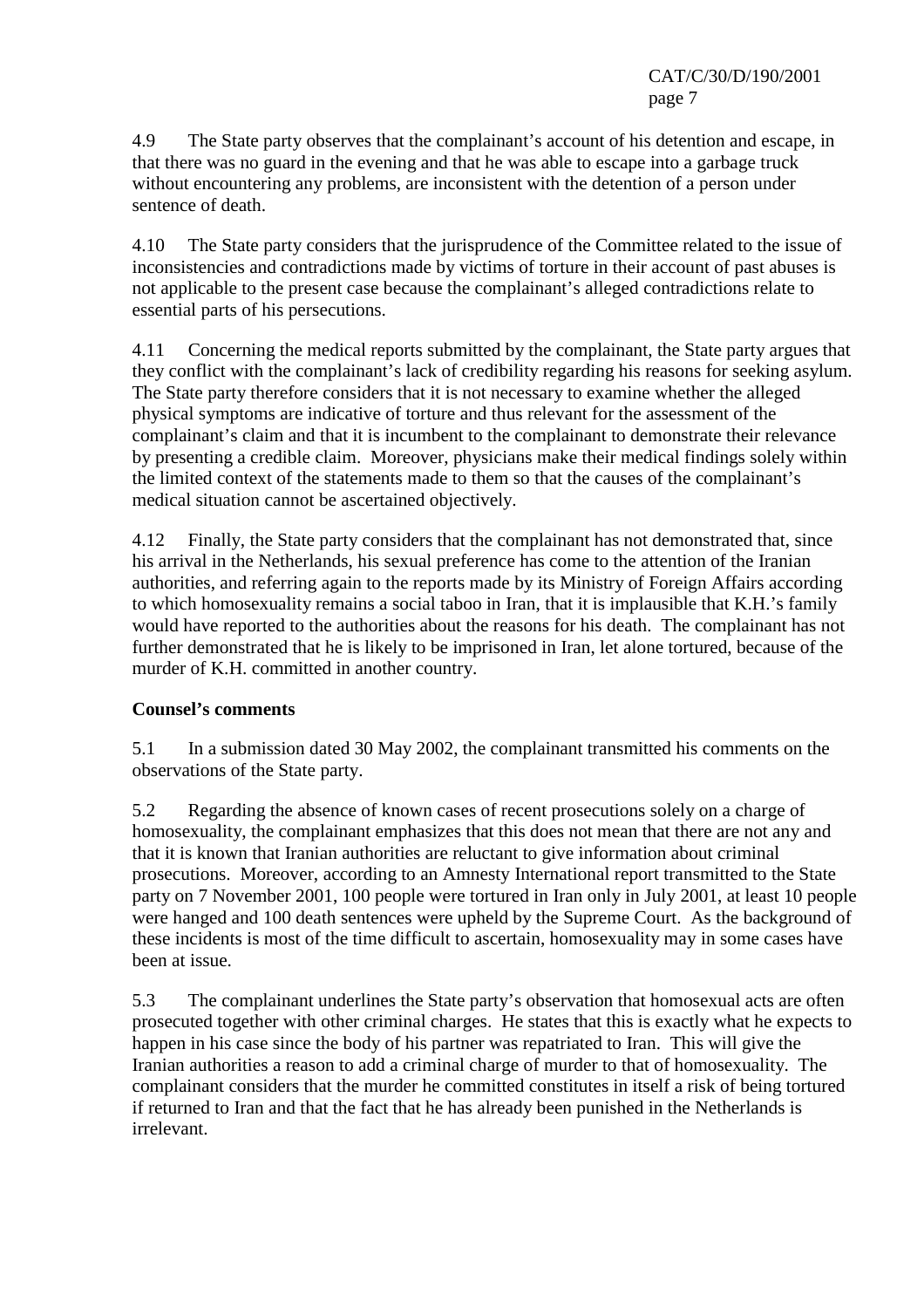CAT/C/30/D/190/2001 page 7

4.9 The State party observes that the complainant's account of his detention and escape, in that there was no guard in the evening and that he was able to escape into a garbage truck without encountering any problems, are inconsistent with the detention of a person under sentence of death.

4.10 The State party considers that the jurisprudence of the Committee related to the issue of inconsistencies and contradictions made by victims of torture in their account of past abuses is not applicable to the present case because the complainant's alleged contradictions relate to essential parts of his persecutions.

4.11 Concerning the medical reports submitted by the complainant, the State party argues that they conflict with the complainant's lack of credibility regarding his reasons for seeking asylum. The State party therefore considers that it is not necessary to examine whether the alleged physical symptoms are indicative of torture and thus relevant for the assessment of the complainant's claim and that it is incumbent to the complainant to demonstrate their relevance by presenting a credible claim. Moreover, physicians make their medical findings solely within the limited context of the statements made to them so that the causes of the complainant's medical situation cannot be ascertained objectively.

4.12 Finally, the State party considers that the complainant has not demonstrated that, since his arrival in the Netherlands, his sexual preference has come to the attention of the Iranian authorities, and referring again to the reports made by its Ministry of Foreign Affairs according to which homosexuality remains a social taboo in Iran, that it is implausible that K.H.'s family would have reported to the authorities about the reasons for his death. The complainant has not further demonstrated that he is likely to be imprisoned in Iran, let alone tortured, because of the murder of K.H. committed in another country.

## **Counsel's comments**

5.1 In a submission dated 30 May 2002, the complainant transmitted his comments on the observations of the State party.

5.2 Regarding the absence of known cases of recent prosecutions solely on a charge of homosexuality, the complainant emphasizes that this does not mean that there are not any and that it is known that Iranian authorities are reluctant to give information about criminal prosecutions. Moreover, according to an Amnesty International report transmitted to the State party on 7 November 2001, 100 people were tortured in Iran only in July 2001, at least 10 people were hanged and 100 death sentences were upheld by the Supreme Court. As the background of these incidents is most of the time difficult to ascertain, homosexuality may in some cases have been at issue.

5.3 The complainant underlines the State party's observation that homosexual acts are often prosecuted together with other criminal charges. He states that this is exactly what he expects to happen in his case since the body of his partner was repatriated to Iran. This will give the Iranian authorities a reason to add a criminal charge of murder to that of homosexuality. The complainant considers that the murder he committed constitutes in itself a risk of being tortured if returned to Iran and that the fact that he has already been punished in the Netherlands is irrelevant.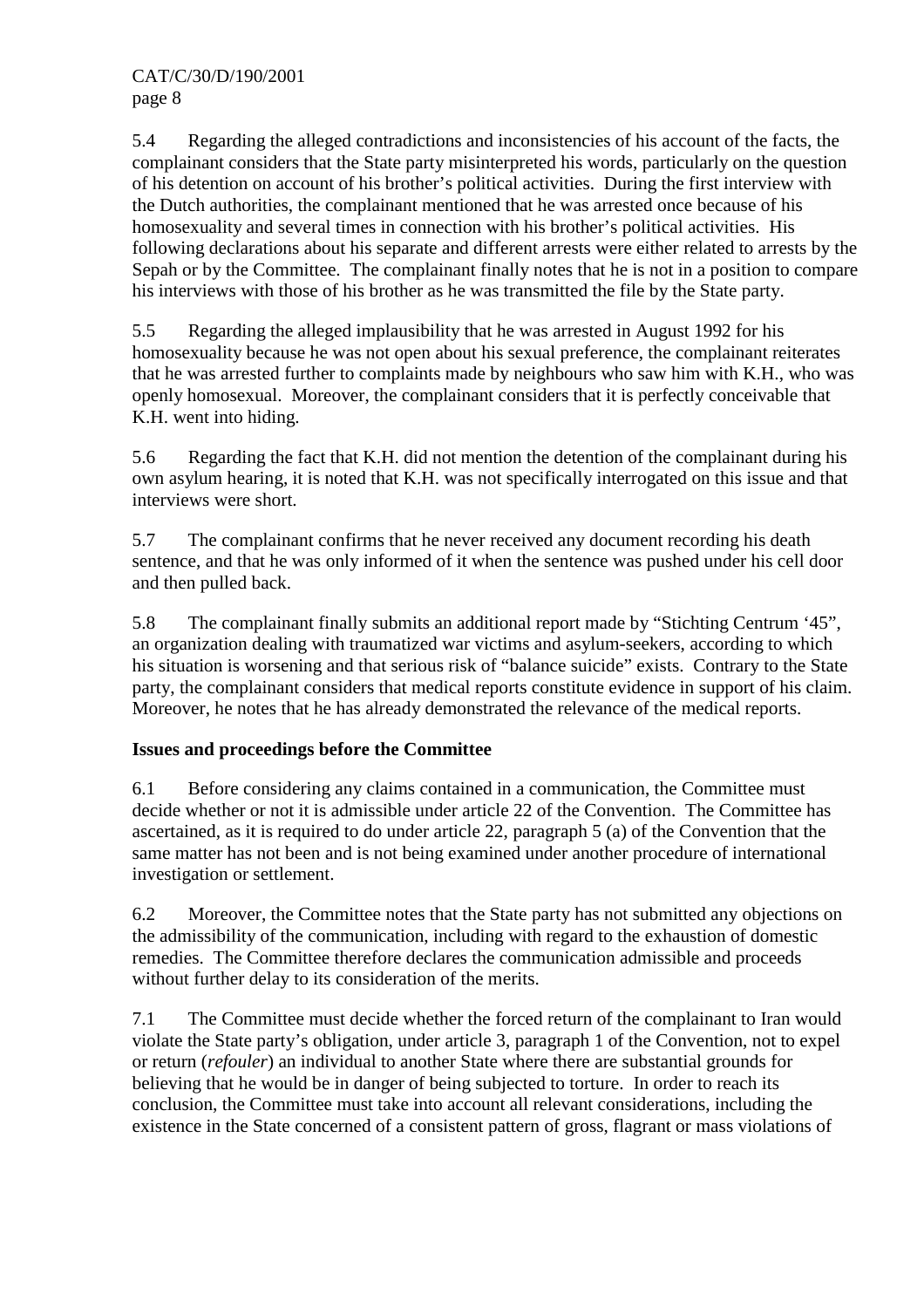5.4 Regarding the alleged contradictions and inconsistencies of his account of the facts, the complainant considers that the State party misinterpreted his words, particularly on the question of his detention on account of his brother's political activities. During the first interview with the Dutch authorities, the complainant mentioned that he was arrested once because of his homosexuality and several times in connection with his brother's political activities. His following declarations about his separate and different arrests were either related to arrests by the Sepah or by the Committee. The complainant finally notes that he is not in a position to compare his interviews with those of his brother as he was transmitted the file by the State party.

5.5 Regarding the alleged implausibility that he was arrested in August 1992 for his homosexuality because he was not open about his sexual preference, the complainant reiterates that he was arrested further to complaints made by neighbours who saw him with K.H., who was openly homosexual. Moreover, the complainant considers that it is perfectly conceivable that K.H. went into hiding.

5.6 Regarding the fact that K.H. did not mention the detention of the complainant during his own asylum hearing, it is noted that K.H. was not specifically interrogated on this issue and that interviews were short.

5.7 The complainant confirms that he never received any document recording his death sentence, and that he was only informed of it when the sentence was pushed under his cell door and then pulled back.

5.8 The complainant finally submits an additional report made by "Stichting Centrum '45", an organization dealing with traumatized war victims and asylum-seekers, according to which his situation is worsening and that serious risk of "balance suicide" exists. Contrary to the State party, the complainant considers that medical reports constitute evidence in support of his claim. Moreover, he notes that he has already demonstrated the relevance of the medical reports.

# **Issues and proceedings before the Committee**

6.1 Before considering any claims contained in a communication, the Committee must decide whether or not it is admissible under article 22 of the Convention. The Committee has ascertained, as it is required to do under article 22, paragraph 5 (a) of the Convention that the same matter has not been and is not being examined under another procedure of international investigation or settlement.

6.2 Moreover, the Committee notes that the State party has not submitted any objections on the admissibility of the communication, including with regard to the exhaustion of domestic remedies. The Committee therefore declares the communication admissible and proceeds without further delay to its consideration of the merits.

7.1 The Committee must decide whether the forced return of the complainant to Iran would violate the State party's obligation, under article 3, paragraph 1 of the Convention, not to expel or return (*refouler*) an individual to another State where there are substantial grounds for believing that he would be in danger of being subjected to torture. In order to reach its conclusion, the Committee must take into account all relevant considerations, including the existence in the State concerned of a consistent pattern of gross, flagrant or mass violations of